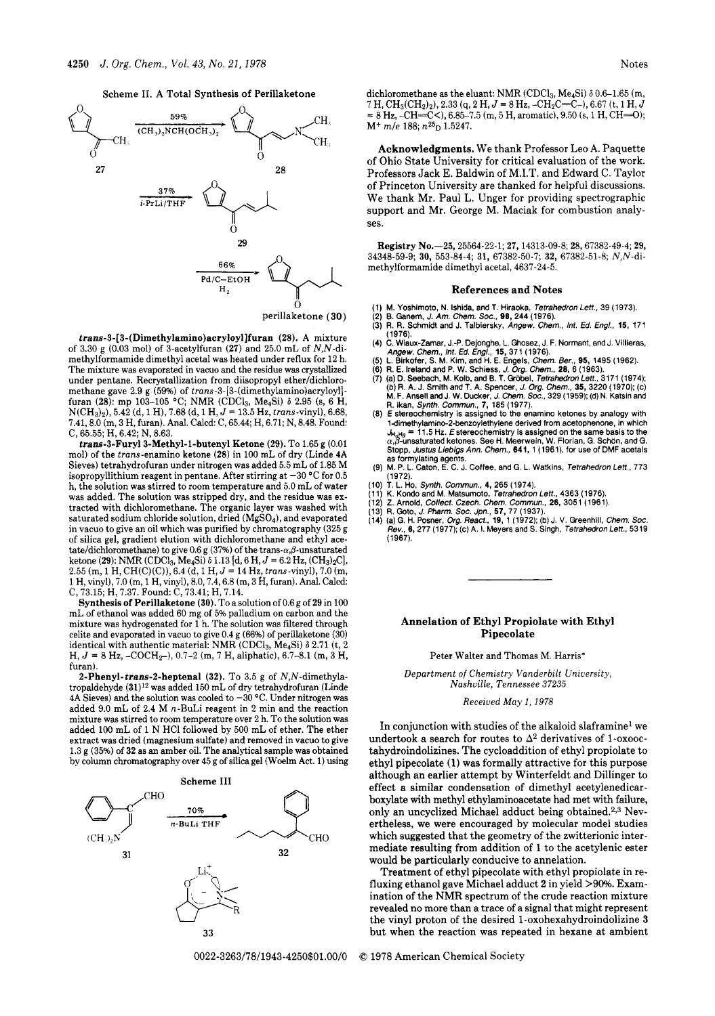#### Scheme **11. A** Total Synthesis of Perillaketone



perillaketone **(30)** 

**trans-3-[3-(Dimethylamino)acryloyl]furan (28).** A mixture of **3.30** g **(0.03** mol) of 3-acetylfuran **(27)** and **25.0** mL of N,N-dimethylformamide dimethyl acetal was heated under reflux for **12** h. The mixture was evaporated in vacuo and the residue was crystallized under pentane. Recrystallization from diisopropyl ether/dichloromethane gave **2.9** g **(59%)** of **trans-3-[3-(dimethylamino)acryloyl]**  furan **(28):** mp **103-105** "C; NMR (CDCI3, Me4Si) 6 **2.95** (s, **6** H, N(CH3)2), **5.42** (d, **1** H), **7.68** (d, **1** H, *J* = **13.5** Hz, trans-vinyl), **6.68, 7.41,S.O** (m, **3** H, furan). Anal. Calcd C, **65.44;** H, **6.71;** N, **8.48.** Found C, **65.55;** H, **6.42;** N, **8.63.** 

trans-3-Fury1 3-Methyl-1-butenyl Ketone **(29).** To **1.65** g **(0.01**  mol) of the trans-enamino ketone **(28)** in **100** mL of dry (Linde **4A**  Sieves) tetrahydrofuran under nitrogen was added **5.5** mL of **1.85** M isopropyllithium reagent in pentane. After stirring at  $-30$  °C for 0.5 h, the solution was stirred to room temperature and 5.0 mL of water was added. The solution was stripped dry, and the residue was ex-<br>tracted with dichloromethane. The organic layer was washed with saturated sodium chloride solution, dried (MgS04), and evaporated in vacuo to give an oil which was purified by chromatography **(325** g tate/dichloromethane) to give 0.6  $g$  (37%) of the trans- $\alpha$ , $\beta$ -unsaturated ketone (29): NMR (CDC1<sub>3</sub>, Me<sub>4</sub>Si)  $\delta$  1.13 [d,  $6$  H,  $J$  = 6.2 Hz, (CH<sub>3</sub>)<sub>2</sub>C], **2.55** (m, **1** H, CH(C)(C)), **6.4** (d, 1 H, *J* = **14** Hz, trans-vinyl), **7.0** (m, **1** H, vinyl), **7.0** (m, **1** H, vinyl), **8.0,7.4,6.8** (m, **3 H,** furan). Anal. Calcd C, **73.15;** H, **7.37.** Found: C, **73.41;** H, **7.14.** 

Synthesis **of** Perillaketone (30). To a solution of **0.6** g of **29** in **100**  mL of ethanol was added **60** mg of **5%** palladium on carbon and the mixture was hydrogenated for 1 h. The solution was filtered through celite and evaporated in vacuo to give **0.4** g **(66%)** of perillaketone **(30)**  identical with authentic material: NMR (CDC13, MedSi) **6 2.71** (t, **2**   $H, J = 8$   $Hz, -COCH<sub>2</sub>-$ , 0.7-2 (m, 7  $H$ , aliphatic), 6.7-8.1 (m, 3  $H$ , furan).

2-Phenyl- trans-2-heptenal (32). To **3.5** g of N,N-dimethylatropaldehyde (31)<sup>12</sup> was added 150 mL of dry tetrahydrofuran (Linde 4A Sieves) and the solution was cooled to -30 °C. Under nitrogen was added 9.0 mL of 2.4 M  $n$ -BuLi reagent in 2 min and the reaction mixture was stirred to room temperature over 2 h. To the solution was added 100 mL of 1 N HCl followed by 500 mL of ether. The ether extract was dried (magnesium sulfate) and removed in vacuo to give **1.3** g **(35%)** of **32** as an amber oil. The analytical sample was obtained by column chromatography over **45** g of silica gel (Woelm Act. **1)** using



dichloromethane as the eluant: NMR  $(CDCl<sub>3</sub>, Me<sub>4</sub>Si)$   $\delta$  0.6-1.65  $(m,$ = **8** Hz, -CH=C<), **6.85-7.5** (m, **5 H,** aromatic), **9.50** (s, 1 H, CH=O);  $M^+$  *m/e* 188;  $n^{25}$ <sub>D</sub> 1.5247. **7 H, CH<sub>3</sub>(CH<sub>2</sub>)<sub>2</sub>), 2.33 (q, 2 H,** *J* **= 8 Hz, -CH<sub>2</sub>C=C-), 6.67 (t, 1 H,** *J* 

Acknowledgments. We thank Professor **Leo** A. Paquette of Ohio State University for critical evaluation of the work. Professors Jack E. Baldwin of M.I.T. and Edward C. Taylor of Princeton University are thanked for helpful discussions. We thank Mr. Paul L. Unger for providing spectrographic support and Mr. George M. Maciak for combustion analyses.

Registry **No.-25,25564-22-1; 27,14313-09-8; 28,67382-49-4; 29, 34348-59-9; 30, 553-84-4;** 31, **67382-50-7; 32, 67382-51-8;** N,N-dimethylformamide dimethyl acetal, **4637-24-5.** 

#### References and Notes

- (1) **M.** Yoshimoto, **N.** Ishida, and **T.** Hiraoka, Tetrahedron Lett., **39 (1973). (2) B.** Ganem, *J.* Am. Chem. SOC.. **98,244 (1976).**
- 
- **(3) R. R. Schmidt and J. Talbiersky,** *Angew. Chem., Int. Ed. Engl.,* **15, 171** *(***1976)**
- C. Wiaux-Zamar, **J.-P.** Dejonghe, L. **Ghosez,** J. **F.** Normant, and J. Villieras, Angew. *Chem.. lnt. Ed.* Engl., **15, 371 (1976). (4)**
- 
- 
- (5) L. Birkofer, S. M. Kim, and H. E. Engels, *Chem. Ber.*, **95,** 1495 (1962).<br>(6) R. E. Ireland and P. W. Schiess, *J. Org. Chem.*, **28,** 6 (1963).<br>(7) (a) D. Seebach, M. Kolb, and B. T. Gröbel, *Tetrahedron Lett.*, 3171 M. F. Ansell and J. W. Ducker, J. Chem. Soc., 329 (1959); (d) N. Katsin and R. Ikan, *Synth. Commun.*, 7, 185 (1977).<br>(8) E stereochemistry is assigned to the enamino ketones by analogy with
- 1-dimethylamino-2-benzoylethylene derived from acetophenone, in which  $A_{\text{I}_\text{eff}} = 11.5$  Hz. E stereochemistry is assigned on the same basis to the  $\alpha$ , $\beta$ -unsaturated ketones. See H. Meerwein, W. Florian, G. Schön, a Stopp, *Justus* Liebigs *Ann.* Chem., **641, 1 (1961),** for use of DMF acetals as formyiating agents.
- **(9) M.** P. L. Caton, E. C. J. Coffee, and G. L. Watkins, Tetrahedron Lett., **773**
- 
- 
- 
- (1972).<br>
(10) T. L. Ho, *Synth. Commun.*, 4, 265 (1974).<br>
(11) K. Kondo and M. Matsumoto, *Tetrahedron Lett.*, 4363 (1976).<br>
(12) Z. Arnold, *Collect. Czech. Chem. Commun.*, 26, 3051 (1961).<br>
(13) R. Goto, *J. Pharm. Soc.*

## Annelation of Ethyl Propiolate with Ethyl Pipecolate

Peter Walter and Thomas M. Harris\*

Department *of* Chemistry Vanderbilt Uniuersity, Nashville, Tennessee **37235** 

#### Received May 1,1978

In conjunction with studies of the alkaloid slaframinel we undertook a search for routes to  $\Delta^2$  derivatives of 1-oxooctahydroindolizines. The cycloaddition of ethyl propiolate to ethyl pipecolate **(1)** was formally attractive for this purpose although an earlier attempt by Winterfeldt and Dillinger to effect a similar condensation of dimethyl acetylenedicarboxylate with methyl ethylaminoacetate had met with failure, only an uncyclized Michael adduct being obtained.2,3 Nevertheless, we were encouraged by molecular model studies which suggested that the geometry of the zwitterionic intermediate resulting from addition of **1** to the acetylenic ester would be particularly conducive to annelation.

Treatment of ethyl pipecolate with ethyl propiolate in refluxing ethanol gave Michael adduct 2 in yield >90%. Examination of the NMR spectrum of the crude reaction mixture revealed no more than a trace of a signal that might represent the vinyl proton of the desired **1-oxohexahydroindolizine 3**  but when the reaction was repeated in hexane at ambient

0022-3263/78/1943-4250\$01.00/0 *0* 1978 American Chemical Society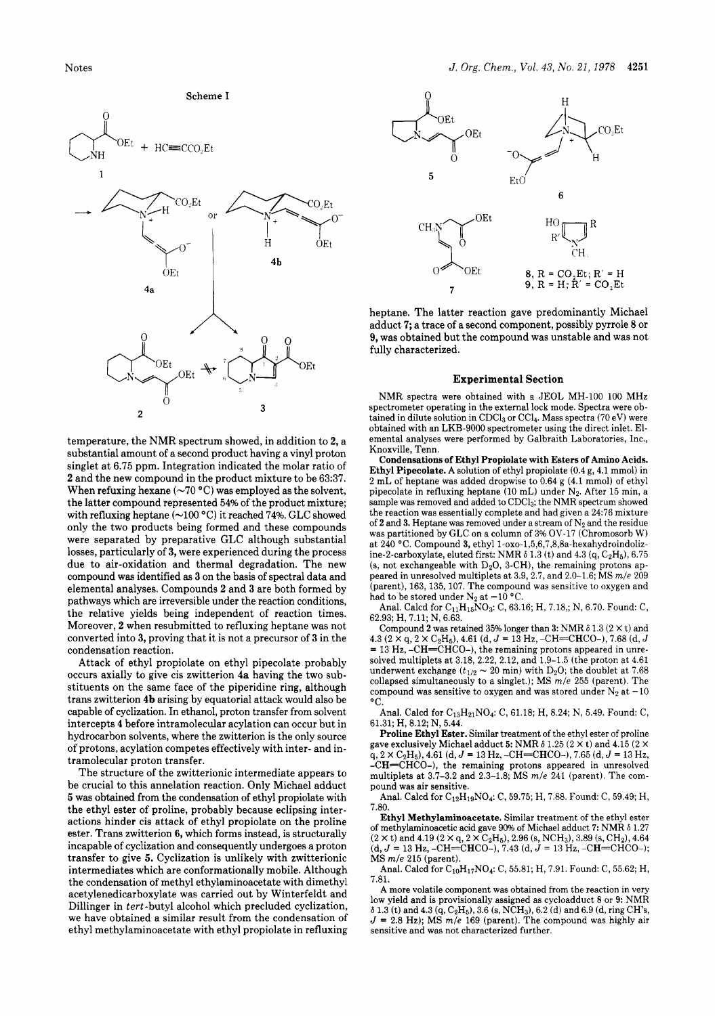

temperature, the NMR spectrum showed, in addition to **2,** a substantial amount of a second product having a vinyl proton singlet at **6.75** ppm. Integration indicated the molar ratio of **2** and the new compound in the product mixture to be **63:37.**  When refuxing hexane  $(\sim 70 \degree C)$  was employed as the solvent, the latter compound represented **54%** of the product mixture; with refluxing heptane  $(\sim 100 \text{ °C})$  it reached 74%. GLC showed only the two products being formed and these compounds were separated by preparative GLC although substantial losses, particularly of **3,** were experienced during the process due to air-oxidation and thermal degradation. The new compound was identified **as 3** on the basis of spectral data and elemental analyses. Compounds **2** and **3** are both formed by pathways which are irreversible under the reaction conditions, the relative yields being independent of reaction times. Moreover, **2** when resubmitted to refluxing heptane was not converted into **3,** proving that it is not a precursor of **3** in the condensation reaction.

Attack of ethyl propiolate on ethyl pipecolate probably occurs axially to give cis zwitterion **4a** having the two substituents on the same face of the piperidine ring, although trans zwitterion **4b** arising by equatorial attack would also be capable of cyclization. In ethanol, proton transfer from solvent intercepts **4** before intramolecular acylation can occur but in hydrocarbon solvents, where the zwitterion is the only source of protons, acylation competes effectively with inter- and intramolecular proton transfer.

The structure of the zwitterionic intermediate appears to be crucial to this annelation reaction. Only Michael adduct **5** was obtained from the condensation of ethyl propiolate with the ethyl ester of proline, probably because eclipsing interactions hinder cis attack of ethyl propiolate on the proline ester. Trans zwitterion **6,** which forms instead, is structurally incapable of cyclization and consequently undergoes a proton transfer to give **5.** Cyclization is unlikely with zwitterionic intermediates which are conformationally mobile. Although the condensation of methyl ethylaminoacetate with dimethyl acetylenedicarboxylate was carried out by Winterfeldt and Dillinger in tert-butyl alcohol which precluded cyclization, we have obtained a similar result from the condensation of ethyl methylaminoacetate with ethyl propiolate in refluxing



heptane. The latter reaction gave predominantly Michael adduct **7;** a trace of a second component, possibly pyrrole **8** or **9,** was obtained but the compound was unstable and was not fully characterized.

### **Experimental Section**

NMR spectra were obtained with a JEOL MH-100 **100** MHz spectrometer operating in the external lock mode. Spectra were obtained in dilute solution in CDC13 or CC4. Mass spectra **(70** eV) were obtained with an LKB-9000 spectrometer using the direct inlet. Elemental analyses were performed by Galbraith Laboratories, Inc., Knoxville, Tenn.

Condensations **of** Ethyl Propiolate with Esters **of** Amino Acids. Ethyl Pipecolate. A solution of ethyl propiolate **(0.4** g, **4.1** mmol) in **2** mL of heptane was added dropwise to **0.64** g **(4.1** mmol) of ethyl pipecolate in refluxing heptane **(10** mL) under N2. After **15** min, a sample was removed and added to CDCl<sub>3</sub>; the NMR spectrum showed the reaction was essentially complete and had given a **24:76** mixture of **2** and **3.** Heptane was removed under a stream of  $N_2$  and the residue was partitioned by GLC on a column of  $3\%$  OV-17 (Chromosorb W) at 240 °C. Compound 3, ethyl 1-oxo-1,5,6,7,8,8a-hexahydroindolizine-2-carboxylate, eluted first: NMR 6 **1.3** (t) and **4.3 (q,** C2H5), **6.75**  (s, not exchangeable with  $D_2O$ , 3-CH), the remaining protons appeared in unresolved multiplets at **3.9,2.7,** and **2.0-1.6;** MS *mle* **209**  (parent), **163,135,107.** The compound was sensitive to oxygen and had to be stored under  $N_2$  at  $-10$  °C.

Anal. Calcd for C<sub>11</sub>H<sub>15</sub>NO<sub>3</sub>: C, 63.16; H, 7.18,; N, 6.70. Found: C, **62.93;** H, **7.11;** N, **6.63.** 

Compound  $\boldsymbol{2}$  was retained  $35\%$  longer than  $\boldsymbol{3}\text{: NMR } \delta$   $1.3~(2\times\text{t})$  and <sup>=</sup>**13** Hz, -CH=CHCO-), the remaining protons appeared in unre- solved multiplets at **3.18, 2.22, 2.12,** and **1.9-1.5** (the proton at **4.61**  underwent exchange  $(t_{1/2} \sim 20 \text{ min})$  with  $D_2O$ ; the doublet at 7.68 collapsed simultaneously to a singlet.); MS *mle* **255** (parent). The compound was sensitive to oxygen and was stored under  $N_2$  at  $-10$ "C.  $4.3$  (2  $\times$  q, 2  $\times$  C<sub>2</sub>H<sub>5</sub>), 4.61 (d, *J* = 13 Hz, -CH=CHCO-), 7.68 (d, *J* 

Anal. Calcd for C13H21N04: C, **61.18;** H, **8.24;** N, **5.49.** Found: C, **61.31;** H, **8.12;** N, **5.44.** 

Proline Ethyl Ester. Similar treatment of the ethyl ester of proline gave exclusively Michael adduct **5:** NMR 6 **1.25 (2** X t) and **4.15 (2** X -CH=CHCO-), the remaining protons appeared in unresolved multiplets at **3.7-3.2** and **2.3-1.8;** MS *mle* **241** (parent). The com- pound was air sensitive.  $q$ ,  $2 \times C_2H_5$ , 4.61 (d,  $J = 13$  Hz,  $-CH=CHCO-$ ), 7.65 (d,  $J = 13$  Hz,

Anal. Calcd for C12H19N04: C, **59.75;** H, **7.88.** Found: C, **59.49;** H, **7.80.** 

Ethyl Methylaminoacetate. Similar treatment of the ethyl ester of methylaminoacetic acid gave 90% of Michael adduct **7:** NMR 6 **1.27 (2** X t) and **4.19 (2** X **q, 2 X** C2H5), **2.96** (s, NCH3), **3.89** (s, CHz), **4.64**  MS *mle* **215** (parent). (d, *J* = **13** Hz, -CH=CHCO-), **7.43** (d, **J** = **13** Hz, -CH=CHCO-);

Anal. Calcd for C<sub>10</sub>H<sub>17</sub>NO<sub>4</sub>: C, 55.81; H, 7.91. Found: C, 55.62; H, **7.81.** 

A more volatile component was obtained from the reaction in very low yield and is provisionally assigned as cycloadduct 8 or **9:** NMR  $\delta$  1.3 <sup>(t)</sup> and 4.3 <sup>(q, C<sub>2</sub>H<sub>5</sub>), 3.6 <sup>(s, NCH<sub>3</sub>), 6.2 <sup>(d)</sup> and 6.9 <sup>(d, ring CH's,</sup></sup></sup>  $J = 2.8$  Hz); MS  $m/e$  169 (parent). The compound was highly air sensitive and was not characterized further.